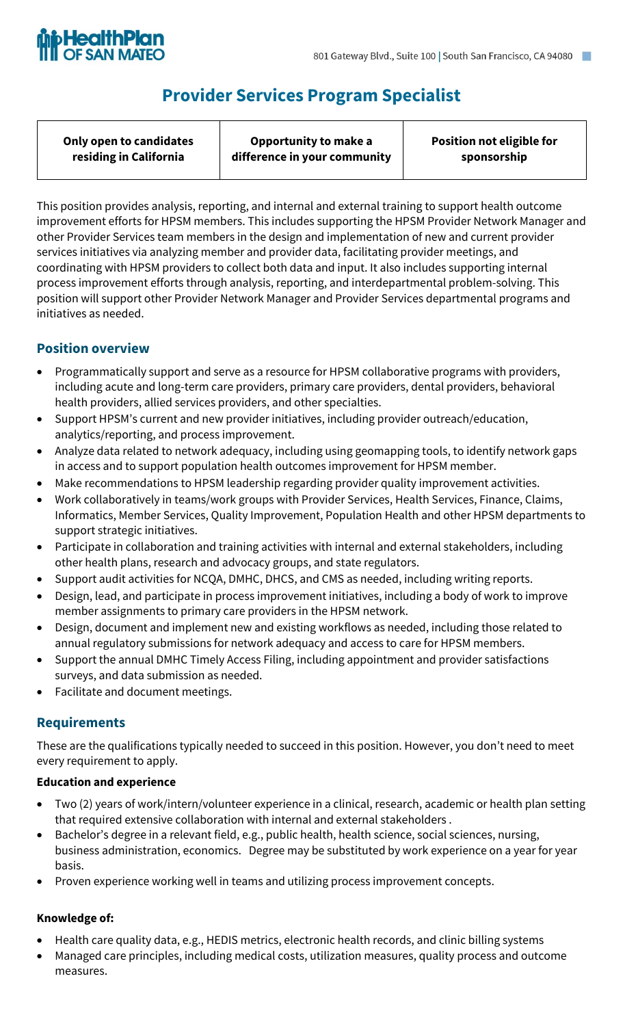

# **Provider Services Program Specialist**

| Only open to candidates | Opportunity to make a        | <b>Position not eligible for</b> |
|-------------------------|------------------------------|----------------------------------|
| residing in California  | difference in your community | sponsorship                      |
|                         |                              |                                  |

This position provides analysis, reporting, and internal and external training to support health outcome improvement efforts for HPSM members. This includes supporting the HPSM Provider Network Manager and other Provider Services team members in the design and implementation of new and current provider services initiatives via analyzing member and provider data, facilitating provider meetings, and coordinating with HPSM providers to collect both data and input. It also includes supporting internal process improvement efforts through analysis, reporting, and interdepartmental problem-solving. This position will support other Provider Network Manager and Provider Services departmental programs and initiatives as needed.

## **Position overview**

- Programmatically support and serve as a resource for HPSM collaborative programs with providers, including acute and long-term care providers, primary care providers, dental providers, behavioral health providers, allied services providers, and other specialties.
- Support HPSM's current and new provider initiatives, including provider outreach/education, analytics/reporting, and process improvement.
- Analyze data related to network adequacy, including using geomapping tools, to identify network gaps in access and to support population health outcomes improvement for HPSM member.
- Make recommendations to HPSM leadership regarding provider quality improvement activities.
- Work collaboratively in teams/work groups with Provider Services, Health Services, Finance, Claims, Informatics, Member Services, Quality Improvement, Population Health and other HPSM departments to support strategic initiatives.
- Participate in collaboration and training activities with internal and external stakeholders, including other health plans, research and advocacy groups, and state regulators.
- Support audit activities for NCQA, DMHC, DHCS, and CMS as needed, including writing reports.
- Design, lead, and participate in process improvement initiatives, including a body of work to improve member assignments to primary care providers in the HPSM network.
- Design, document and implement new and existing workflows as needed, including those related to annual regulatory submissions for network adequacy and access to care for HPSM members.
- Support the annual DMHC Timely Access Filing, including appointment and provider satisfactions surveys, and data submission as needed.
- Facilitate and document meetings.

## **Requirements**

These are the qualifications typically needed to succeed in this position. However, you don't need to meet every requirement to apply.

### **Education and experience**

- Two (2) years of work/intern/volunteer experience in a clinical, research, academic or health plan setting that required extensive collaboration with internal and external stakeholders .
- Bachelor's degree in a relevant field, e.g., public health, health science, social sciences, nursing, business administration, economics. Degree may be substituted by work experience on a year for year basis.
- Proven experience working well in teams and utilizing process improvement concepts.

### **Knowledge of:**

- Health care quality data, e.g., HEDIS metrics, electronic health records, and clinic billing systems
- Managed care principles, including medical costs, utilization measures, quality process and outcome measures.